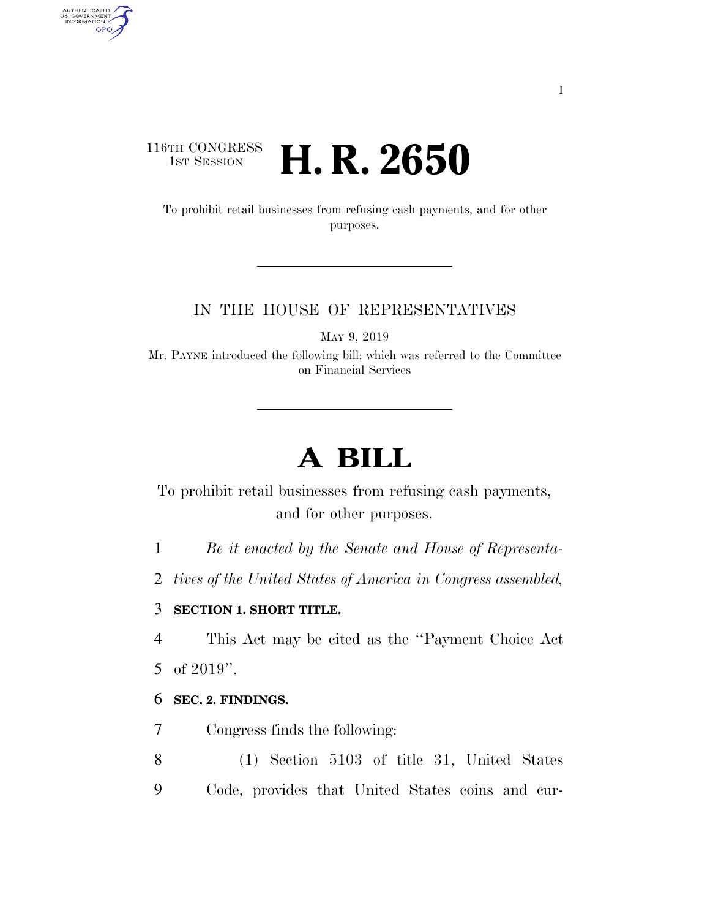# 116TH CONGRESS<br>1st Session **H. R. 2650**

To prohibit retail businesses from refusing cash payments, and for other purposes.

### IN THE HOUSE OF REPRESENTATIVES

MAY 9, 2019

Mr. PAYNE introduced the following bill; which was referred to the Committee on Financial Services

# **A BILL**

To prohibit retail businesses from refusing cash payments, and for other purposes.

1 *Be it enacted by the Senate and House of Representa-*

2 *tives of the United States of America in Congress assembled,* 

## 3 **SECTION 1. SHORT TITLE.**

4 This Act may be cited as the ''Payment Choice Act

5 of 2019''.

AUTHENTICATED<br>U.S. GOVERNMENT<br>INFORMATION

**GPO** 

### 6 **SEC. 2. FINDINGS.**

7 Congress finds the following:

- 8 (1) Section 5103 of title 31, United States
- 9 Code, provides that United States coins and cur-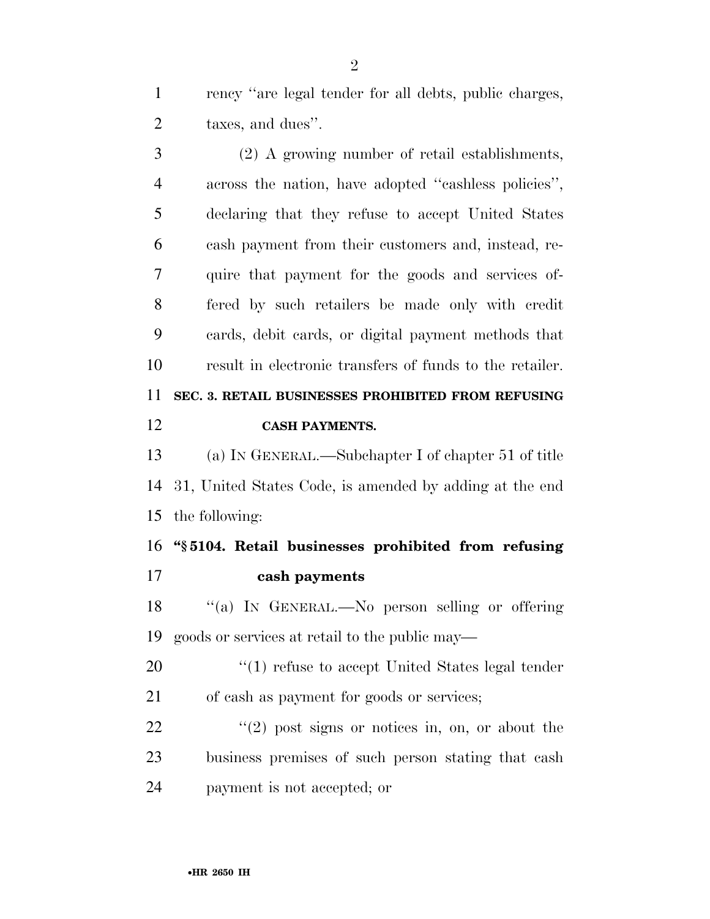rency ''are legal tender for all debts, public charges, taxes, and dues''.

 (2) A growing number of retail establishments, across the nation, have adopted ''cashless policies'', declaring that they refuse to accept United States cash payment from their customers and, instead, re- quire that payment for the goods and services of- fered by such retailers be made only with credit cards, debit cards, or digital payment methods that result in electronic transfers of funds to the retailer. **SEC. 3. RETAIL BUSINESSES PROHIBITED FROM REFUSING CASH PAYMENTS.** 

 (a) IN GENERAL.—Subchapter I of chapter 51 of title 31, United States Code, is amended by adding at the end the following:

 **''§ 5104. Retail businesses prohibited from refusing cash payments** 

18 "(a) IN GENERAL.—No person selling or offering goods or services at retail to the public may—

20  $\frac{1}{20}$  (1) refuse to accept United States legal tender of cash as payment for goods or services;

 ''(2) post signs or notices in, on, or about the business premises of such person stating that cash payment is not accepted; or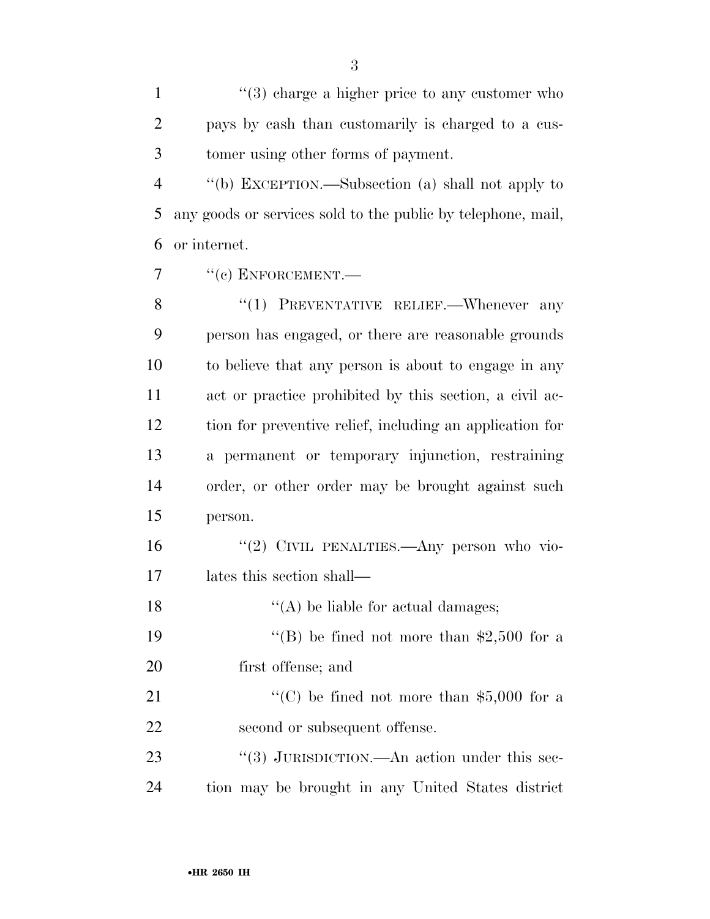1 ''(3) charge a higher price to any customer who pays by cash than customarily is charged to a cus-tomer using other forms of payment.

 ''(b) EXCEPTION.—Subsection (a) shall not apply to any goods or services sold to the public by telephone, mail, or internet.

7  $"$ (c) ENFORCEMENT.

8 "(1) PREVENTATIVE RELIEF.—Whenever any person has engaged, or there are reasonable grounds to believe that any person is about to engage in any act or practice prohibited by this section, a civil ac- tion for preventive relief, including an application for a permanent or temporary injunction, restraining order, or other order may be brought against such person.

16 "(2) CIVIL PENALTIES.—Any person who vio-lates this section shall—

18 ''(A) be liable for actual damages; 19  $\text{``(B)}$  be fined not more than \$2,500 for a first offense; and

21  $\cdot$  (C) be fined not more than \$5,000 for a second or subsequent offense.

23 "(3) JURISDICTION.—An action under this sec-tion may be brought in any United States district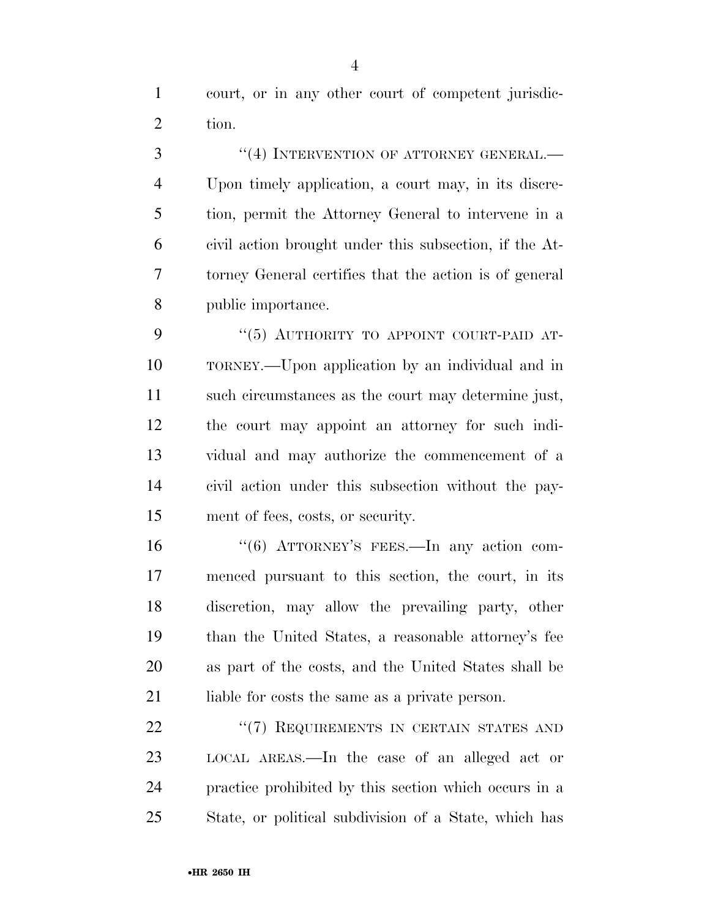court, or in any other court of competent jurisdic-tion.

3 "(4) INTERVENTION OF ATTORNEY GENERAL.— Upon timely application, a court may, in its discre- tion, permit the Attorney General to intervene in a civil action brought under this subsection, if the At- torney General certifies that the action is of general public importance.

9 "(5) AUTHORITY TO APPOINT COURT-PAID AT- TORNEY.—Upon application by an individual and in such circumstances as the court may determine just, the court may appoint an attorney for such indi- vidual and may authorize the commencement of a civil action under this subsection without the pay-ment of fees, costs, or security.

16 "(6) ATTORNEY'S FEES.—In any action com- menced pursuant to this section, the court, in its discretion, may allow the prevailing party, other than the United States, a reasonable attorney's fee as part of the costs, and the United States shall be 21 liable for costs the same as a private person.

22 "(7) REQUIREMENTS IN CERTAIN STATES AND LOCAL AREAS.—In the case of an alleged act or practice prohibited by this section which occurs in a State, or political subdivision of a State, which has